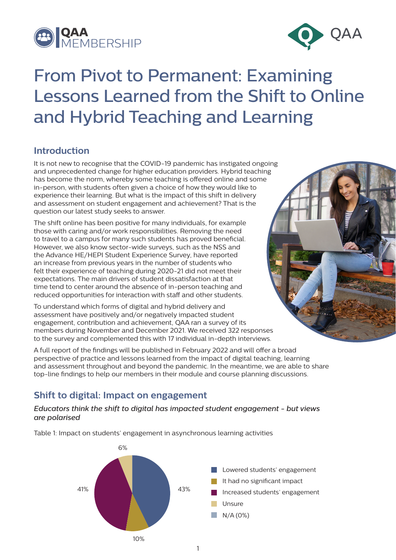



# From Pivot to Permanent: Examining Lessons Learned from the Shift to Online and Hybrid Teaching and Learning

# **Introduction**

It is not new to recognise that the COVID-19 pandemic has instigated ongoing and unprecedented change for higher education providers. Hybrid teaching has become the norm, whereby some teaching is offered online and some in-person, with students often given a choice of how they would like to experience their learning. But what is the impact of this shift in delivery and assessment on student engagement and achievement? That is the question our latest study seeks to answer.

The shift online has been positive for many individuals, for example those with caring and/or work responsibilities. Removing the need to travel to a campus for many such students has proved beneficial. However, we also know sector-wide surveys, such as the NSS and the Advance HE/HEPI Student Experience Survey, have reported an increase from previous years in the number of students who felt their experience of teaching during 2020-21 did not meet their expectations. The main drivers of student dissatisfaction at that time tend to center around the absence of in-person teaching and reduced opportunities for interaction with staff and other students.

To understand which forms of digital and hybrid delivery and assessment have positively and/or negatively impacted student engagement, contribution and achievement, QAA ran a survey of its members during November and December 2021. We received 322 responses to the survey and complemented this with 17 individual in-depth interviews.



A full report of the findings will be published in February 2022 and will offer a broad perspective of practice and lessons learned from the impact of digital teaching, learning and assessment throughout and beyond the pandemic. In the meantime, we are able to share top-line findings to help our members in their module and course planning discussions.

## **Shift to digital: Impact on engagement**

### *Educators think the shift to digital has impacted student engagement - but views are polarised*

Table 1: Impact on students' engagement in asynchronous learning activities

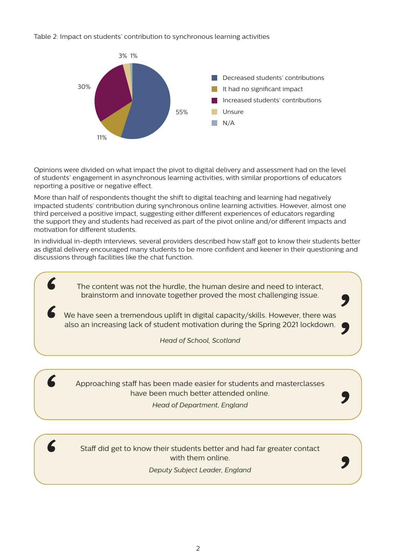Table 2: Impact on students' contribution to synchronous learning activities



of students' engagement in asynchronous learning activities, with similar proportions of educators<br>"sparting a positive armagative effect Opinions were divided on what impact the pivot to digital delivery and assessment had on the level reporting a positive or negative effect.

More than half of respondents thought the shift to digital teaching and learning had negatively It had no signicant impact third perceived a positive impact, suggesting either different experiences of educators regarding the support they and students had received as part of the pivot online and/or different impacts and impacted students' contribution during synchronous online learning activities. However, almost one motivation for different students.

depth interviews, several provide In individual in-depth interviews, several providers described how staff got to know their students better as digital delivery encouraged many students to be more confident and keener in their questioning and discussions through facilities like the chat function.

> The content was not the hurdle, the human desire and need to interact, brainstorm and innovate together proved the most challenging issue.

also an increasing lack of student motivation during the Spring 2021 lockdown. We have seen a tremendous uplift in digital capacity/skills. However, there was

> Redesigning assessment to test understanding, skills and competencies rather than recall *Head of School, Scotland*

> > 31%

*'*

*'*

*'*

*'*

31%

Greater use of formative and/or continuous assessment

Moving away from reliance on nal examinations



*'*

*'*

*'*

Approaching staff has been made easier for students and masterclasses Reducing the number of assesssment instruments or occasions have been much better attended online.

Realigning module (or equivalent) level *Head of Department, England*

Staff did get to know their students better and had far greater contact with them online.

0 10 20 30 40 50 *Deputy Subject Leader, England*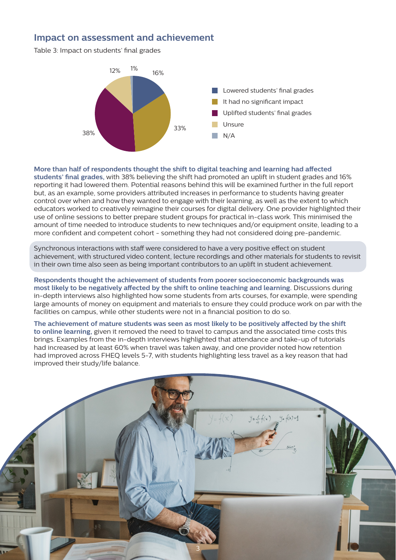## **Impact on assessment and achievement**

Table 3: Impact on students' final grades



#### **More than half of respondents thought the shift to digital teaching and learning had affected**

use of online sessions to better prepare student groups for practical in-class work. This minimised the amount of time needed to introduce students to new techniques and/or equipment onsite, leading to a more confident and competent cohort - something they had not considered doing pre-pandemic. **students' final grades,** with 38% believing the shift had promoted an uplift in student grades and 16% reporting it had lowered them. Potential reasons behind this will be examined further in the full report but, as an example, some providers attributed increases in performance to students having greater control over when and how they wanted to engage with their learning, as well as the extent to which educators worked to creatively reimagine their courses for digital delivery. One provider highlighted their

Synchronous interactions with staff were considered to have a very positive effect on student achievement, with stractured video content, tecture recordings and other materials for statents<br>in their own time also seen as being important contributors to an uplift in student achievement. achievement, with structured video content, lecture recordings and other materials for students to revisit

Respondents thought the achievement of students from poorer socioeconomic backgrounds was most likely to be negatively affected by the shift to online teaching and learning. Discussions during Realigning module (or equivalent) level large amounts of money on equipment and materials to ensure they could produce work on par with the in-depth interviews also highlighted how some students from arts courses, for example, were spending facilities on campus, while other students were not in a financial position to do so.

## had improved across FHEQ levels 5-7, with students highlighting less travel as a key reason that had<br>. The achievement of mature students was seen as most likely to be positively affected by the shift to online learning, given it removed the need to travel to campus and the associated time costs this brings. Examples from the in-depth interviews highlighted that attendance and take-up of tutorials had increased by at least 60% when travel was taken away, and one provider noted how retention improved their study/life balance.

3